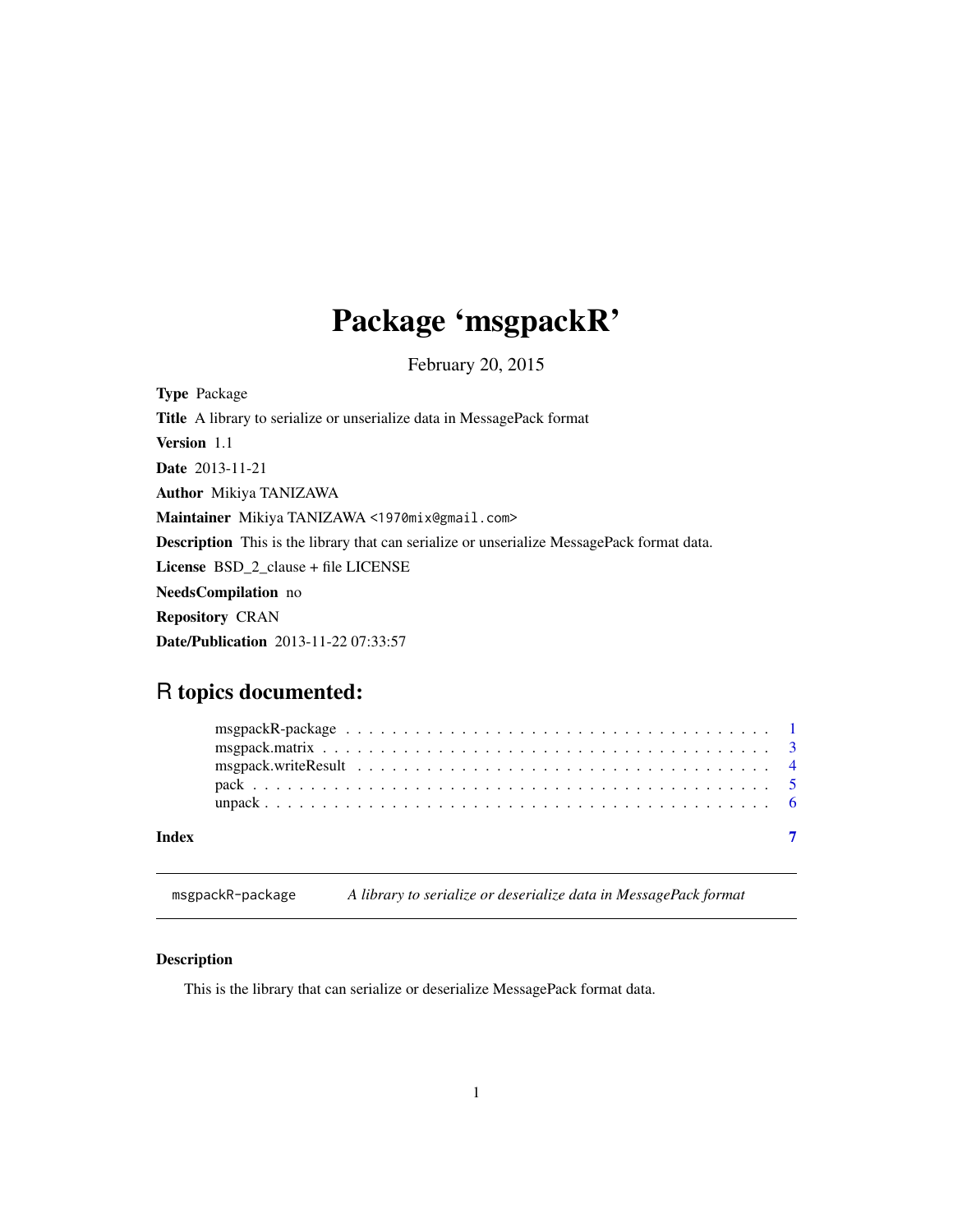## <span id="page-0-0"></span>Package 'msgpackR'

February 20, 2015

Type Package Title A library to serialize or unserialize data in MessagePack format Version 1.1 Date 2013-11-21 Author Mikiya TANIZAWA Maintainer Mikiya TANIZAWA <1970mix@gmail.com> Description This is the library that can serialize or unserialize MessagePack format data. License BSD\_2\_clause + file LICENSE NeedsCompilation no Repository CRAN Date/Publication 2013-11-22 07:33:57

## R topics documented:

| Index |  |  |  |  |  |  |  |  |  |  |  |  |  |  |  |  |  |  |
|-------|--|--|--|--|--|--|--|--|--|--|--|--|--|--|--|--|--|--|

msgpackR-package *A library to serialize or deserialize data in MessagePack format*

## Description

This is the library that can serialize or deserialize MessagePack format data.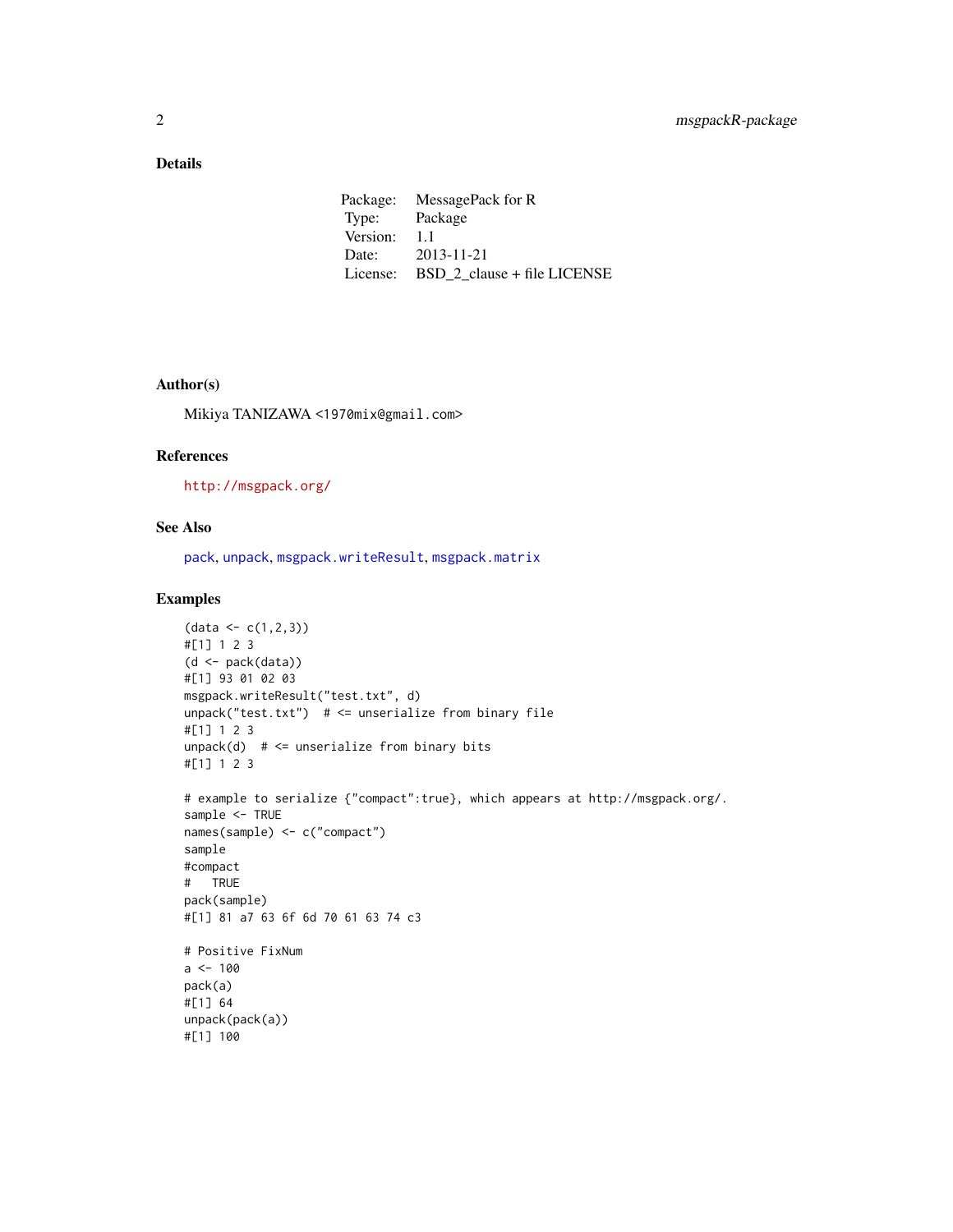## <span id="page-1-0"></span>Details

| Package: | MessagePack for R           |
|----------|-----------------------------|
| Type:    | Package                     |
| Version: | 1.1                         |
| Date:    | 2013-11-21                  |
| License: | BSD 2 clause + file LICENSE |

## Author(s)

Mikiya TANIZAWA <1970mix@gmail.com>

## References

<http://msgpack.org/>

## See Also

[pack](#page-4-1), [unpack](#page-5-1), [msgpack.writeResult](#page-3-1), [msgpack.matrix](#page-2-1)

## Examples

```
(data < c(1, 2, 3))#[1] 1 2 3
(d \leq pack(data))#[1] 93 01 02 03
msgpack.writeResult("test.txt", d)
unpack("test.txt") # \le unserialize from binary file
#[1] 1 2 3
unpack(d) # \le unserialize from binary bits
#[1] 1 2 3
# example to serialize {"compact":true}, which appears at http://msgpack.org/.
sample <- TRUE
names(sample) <- c("compact")
sample
#compact
# TRUE
pack(sample)
#[1] 81 a7 63 6f 6d 70 61 63 74 c3
# Positive FixNum
a < - 100pack(a)
#[1] 64
unpack(pack(a))
#[1] 100
```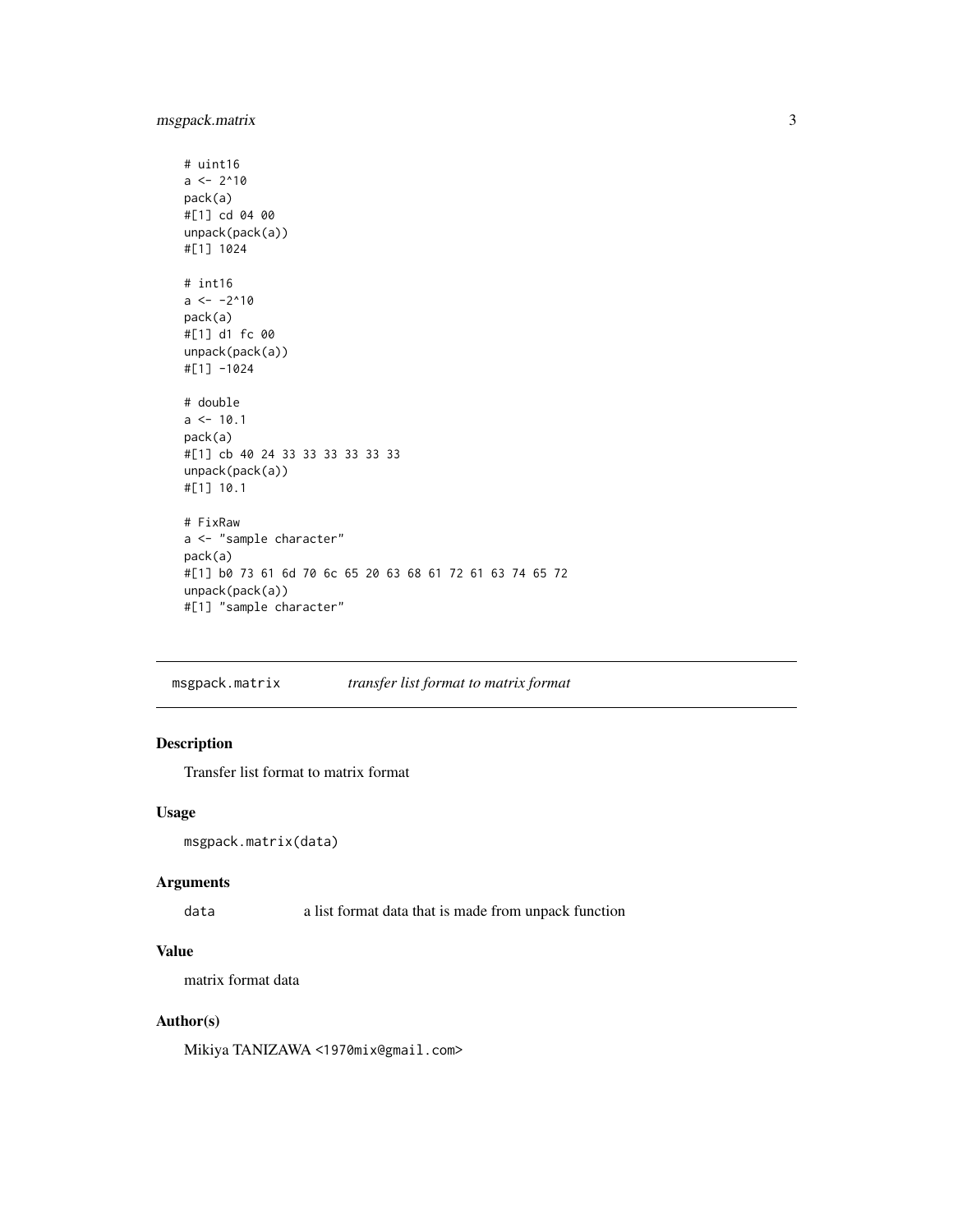## <span id="page-2-0"></span>msgpack.matrix 3

```
# uint16
a \le -2^10pack(a)
#[1] cd 04 00
unpack(pack(a))
#[1] 1024
# int16
a \le -2^10pack(a)
#[1] d1 fc 00
unpack(pack(a))
#[1] -1024
# double
a \le -10.1pack(a)
#[1] cb 40 24 33 33 33 33 33 33
unpack(pack(a))
#[1] 10.1
# FixRaw
a <- "sample character"
pack(a)
#[1] b0 73 61 6d 70 6c 65 20 63 68 61 72 61 63 74 65 72
unpack(pack(a))
#[1] "sample character"
```
<span id="page-2-1"></span>msgpack.matrix *transfer list format to matrix format*

## Description

Transfer list format to matrix format

## Usage

```
msgpack.matrix(data)
```
#### Arguments

data a list format data that is made from unpack function

## Value

matrix format data

## Author(s)

Mikiya TANIZAWA <1970mix@gmail.com>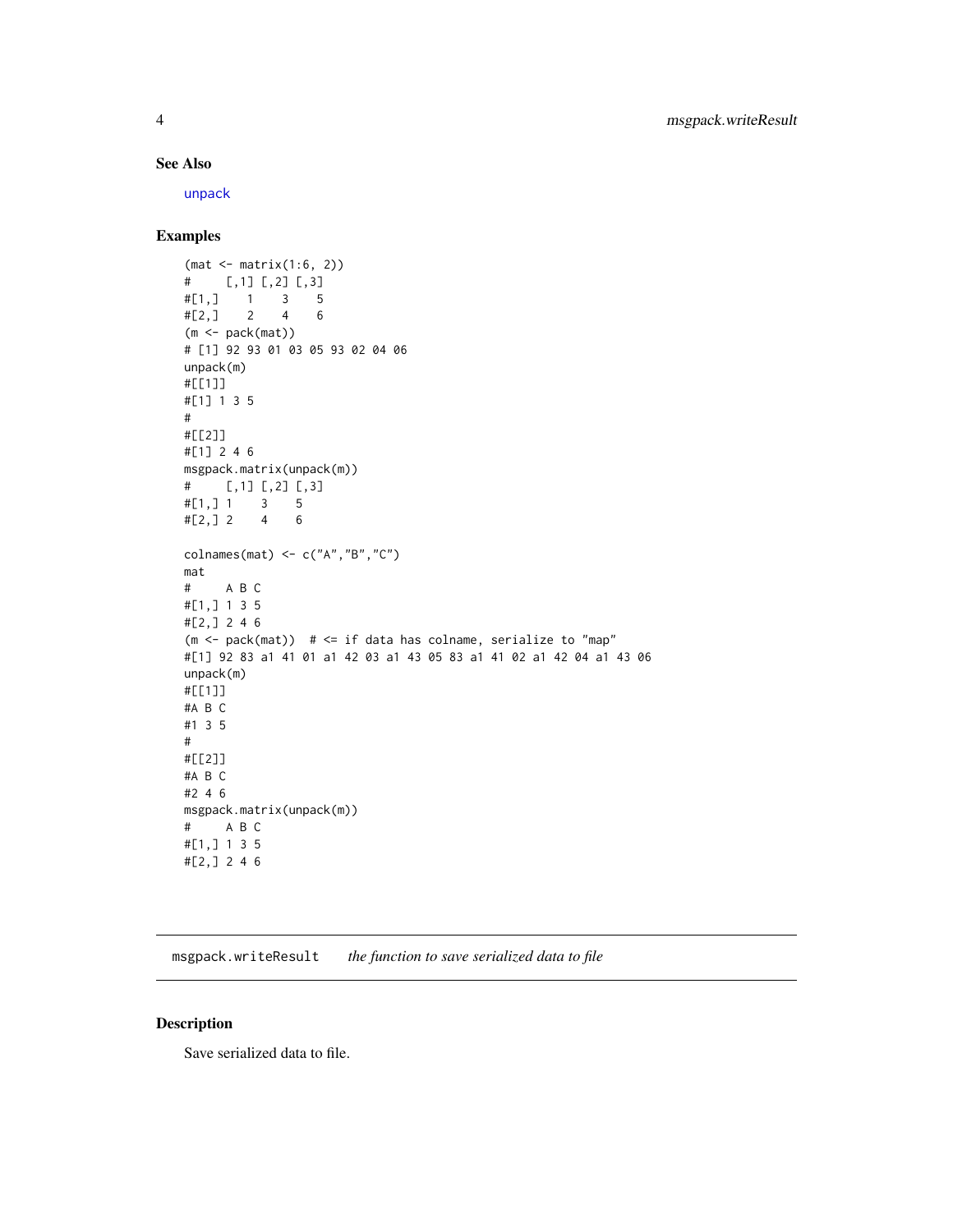#### See Also

[unpack](#page-5-1)

## Examples

```
(mat <- matrix(1:6, 2))
# [,1] [,2] [,3]
#[1,] 1 3 5
#[2,] 2 4 6
(m <- pack(mat))
# [1] 92 93 01 03 05 93 02 04 06
unpack(m)
#[[1]]
#[1] 1 3 5
#
#[[2]]
#[1] 2 4 6
msgpack.matrix(unpack(m))
# [,1] [,2] [,3]
#[1,] 1 3 5
#[2, ] 2 4 6colnames(mat) <- c("A","B","C")
mat
# A B C
#[1,] 1 3 5
#[2,] 2 4 6
(m \le - pack(mat)) # \le if data has colname, serialize to "map"
#[1] 92 83 a1 41 01 a1 42 03 a1 43 05 83 a1 41 02 a1 42 04 a1 43 06
unpack(m)
#[[1]]
#A B C
#1 3 5
#
#[[2]]
#A B C
#2 4 6
msgpack.matrix(unpack(m))
# A B C
#[1,] 1 3 5
#[2,] 2 4 6
```
<span id="page-3-1"></span>msgpack.writeResult *the function to save serialized data to file*

## Description

Save serialized data to file.

<span id="page-3-0"></span>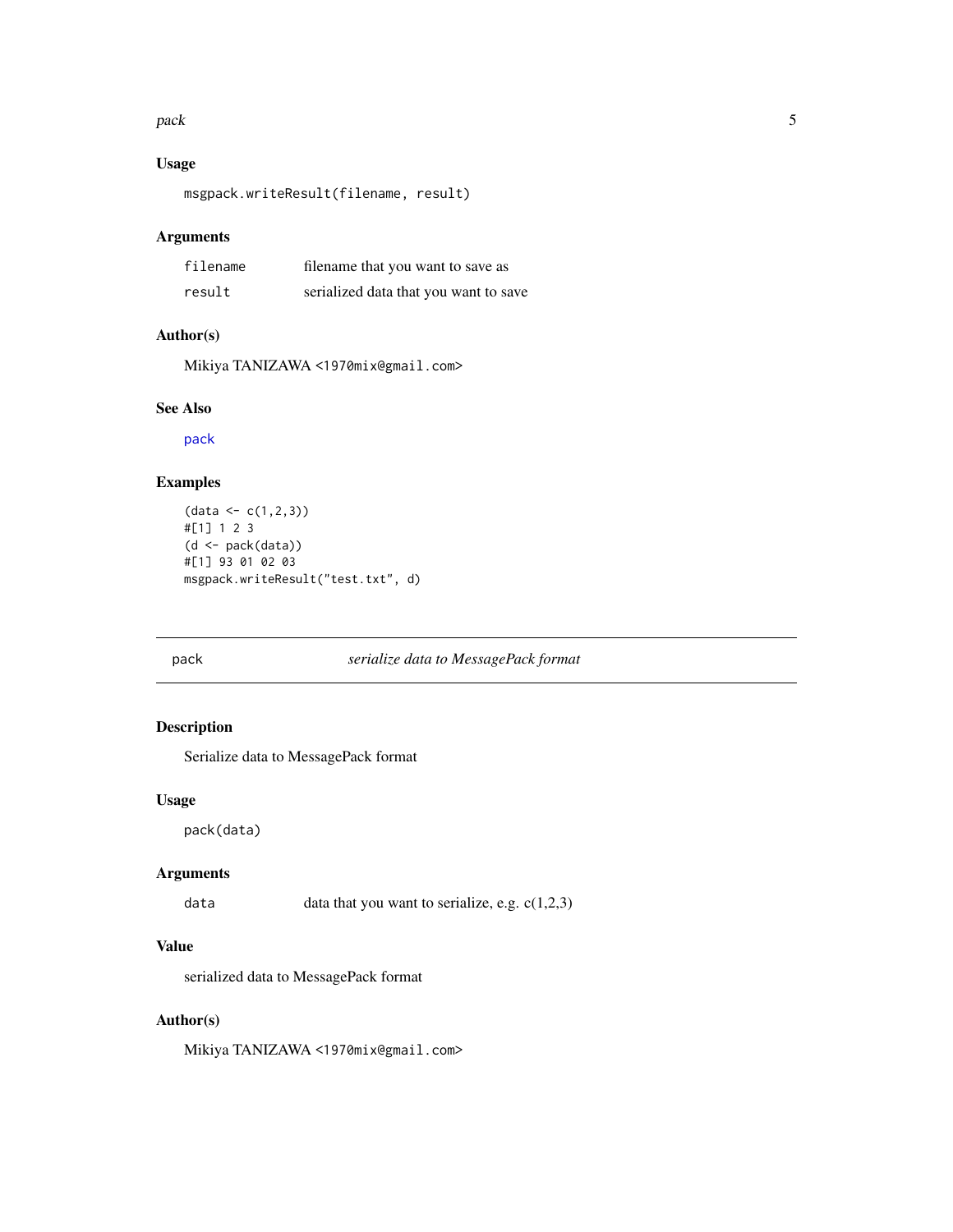#### <span id="page-4-0"></span>pack the state of the state of the state of the state of the state of the state of the state of the state of the state of the state of the state of the state of the state of the state of the state of the state of the state

## Usage

```
msgpack.writeResult(filename, result)
```
## Arguments

| filename | filename that you want to save as     |
|----------|---------------------------------------|
| result   | serialized data that you want to save |

## Author(s)

Mikiya TANIZAWA <1970mix@gmail.com>

## See Also

[pack](#page-4-1)

## Examples

```
(data <- c(1,2,3))
#[1] 1 2 3
(d \leq pack(data))#[1] 93 01 02 03
msgpack.writeResult("test.txt", d)
```
## <span id="page-4-1"></span>pack *serialize data to MessagePack format*

## Description

Serialize data to MessagePack format

#### Usage

pack(data)

## Arguments

data data that you want to serialize, e.g. c(1,2,3)

## Value

serialized data to MessagePack format

## Author(s)

Mikiya TANIZAWA <1970mix@gmail.com>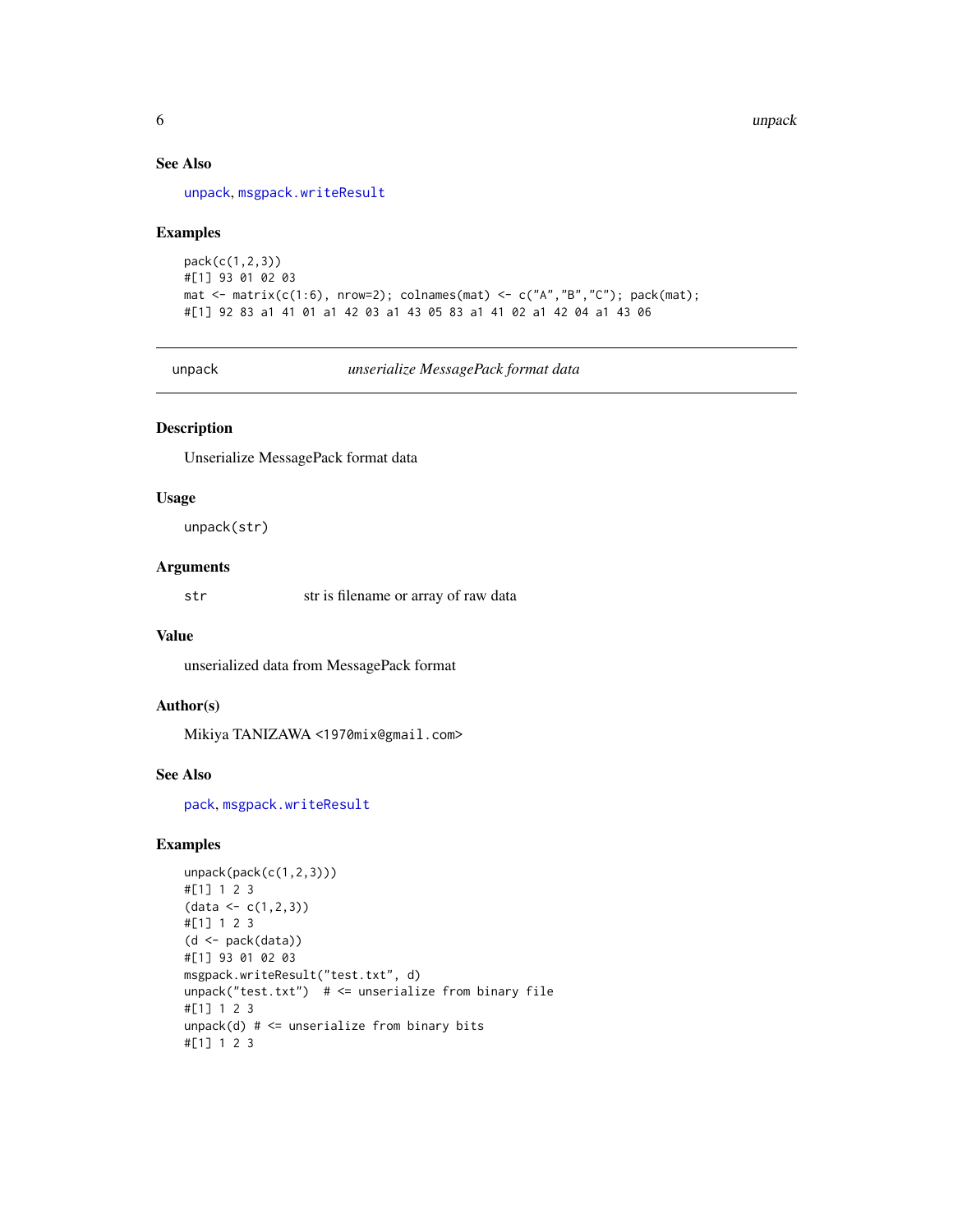## See Also

[unpack](#page-5-1), [msgpack.writeResult](#page-3-1)

## Examples

```
pack(c(1,2,3))
#[1] 93 01 02 03
mat <- matrix(c(1:6), nrow=2); colnames(mat) <- c("A","B","C"); pack(mat);
#[1] 92 83 a1 41 01 a1 42 03 a1 43 05 83 a1 41 02 a1 42 04 a1 43 06
```
<span id="page-5-1"></span>unpack *unserialize MessagePack format data*

## Description

Unserialize MessagePack format data

## Usage

unpack(str)

## Arguments

str str is filename or array of raw data

#### Value

unserialized data from MessagePack format

#### Author(s)

Mikiya TANIZAWA <1970mix@gmail.com>

#### See Also

[pack](#page-4-1), [msgpack.writeResult](#page-3-1)

#### Examples

```
unpack(pack(c(1,2,3)))
#[1] 1 2 3
(data <- c(1,2,3))
#[1] 1 2 3
(d <- pack(data))
#[1] 93 01 02 03
msgpack.writeResult("test.txt", d)
unpack("test.txt") # <= unserialize from binary file
#[1] 1 2 3
unpack(d) # <= unserialize from binary bits
#[1] 1 2 3
```
<span id="page-5-0"></span>